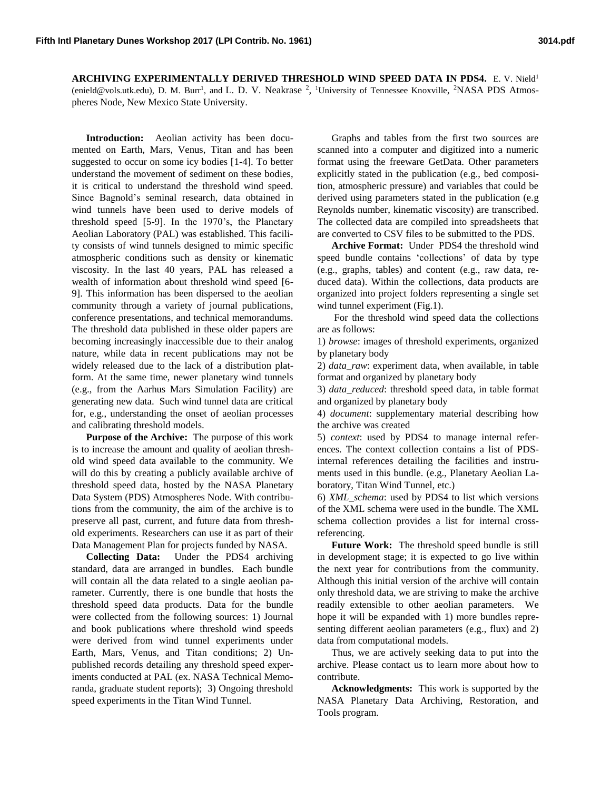**ARCHIVING EXPERIMENTALLY DERIVED THRESHOLD WIND SPEED DATA IN PDS4.** E. V. Nield<sup>1</sup> (enield@vols.utk.edu), D. M. Burr<sup>1</sup>, and L. D. V. Neakrase <sup>2</sup>, <sup>1</sup>University of Tennessee Knoxville, <sup>2</sup>NASA PDS Atmospheres Node, New Mexico State University.

**Introduction:** Aeolian activity has been documented on Earth, Mars, Venus, Titan and has been suggested to occur on some icy bodies [1-4]. To better understand the movement of sediment on these bodies, it is critical to understand the threshold wind speed. Since Bagnold's seminal research, data obtained in wind tunnels have been used to derive models of threshold speed [5-9]. In the 1970's, the Planetary Aeolian Laboratory (PAL) was established. This facility consists of wind tunnels designed to mimic specific atmospheric conditions such as density or kinematic viscosity. In the last 40 years, PAL has released a wealth of information about threshold wind speed [6- 9]. This information has been dispersed to the aeolian community through a variety of journal publications, conference presentations, and technical memorandums. The threshold data published in these older papers are becoming increasingly inaccessible due to their analog nature, while data in recent publications may not be widely released due to the lack of a distribution platform. At the same time, newer planetary wind tunnels (e.g., from the Aarhus Mars Simulation Facility) are generating new data. Such wind tunnel data are critical for, e.g., understanding the onset of aeolian processes and calibrating threshold models.

**Purpose of the Archive:** The purpose of this work is to increase the amount and quality of aeolian threshold wind speed data available to the community. We will do this by creating a publicly available archive of threshold speed data, hosted by the NASA Planetary Data System (PDS) Atmospheres Node. With contributions from the community, the aim of the archive is to preserve all past, current, and future data from threshold experiments. Researchers can use it as part of their Data Management Plan for projects funded by NASA.

**Collecting Data:** Under the PDS4 archiving standard, data are arranged in bundles. Each bundle will contain all the data related to a single aeolian parameter. Currently, there is one bundle that hosts the threshold speed data products. Data for the bundle were collected from the following sources: 1) Journal and book publications where threshold wind speeds were derived from wind tunnel experiments under Earth, Mars, Venus, and Titan conditions; 2) Unpublished records detailing any threshold speed experiments conducted at PAL (ex. NASA Technical Memoranda, graduate student reports); 3) Ongoing threshold speed experiments in the Titan Wind Tunnel.

Graphs and tables from the first two sources are scanned into a computer and digitized into a numeric format using the freeware GetData. Other parameters explicitly stated in the publication (e.g., bed composition, atmospheric pressure) and variables that could be derived using parameters stated in the publication (e.g Reynolds number, kinematic viscosity) are transcribed. The collected data are compiled into spreadsheets that are converted to CSV files to be submitted to the PDS.

**Archive Format:** Under PDS4 the threshold wind speed bundle contains 'collections' of data by type (e.g., graphs, tables) and content (e.g., raw data, reduced data). Within the collections, data products are organized into project folders representing a single set wind tunnel experiment (Fig.1).

For the threshold wind speed data the collections are as follows:

1) *browse*: images of threshold experiments, organized by planetary body

2) *data\_raw*: experiment data, when available, in table format and organized by planetary body

3) *data\_reduced*: threshold speed data, in table format and organized by planetary body

4) *document*: supplementary material describing how the archive was created

5) *context*: used by PDS4 to manage internal references. The context collection contains a list of PDSinternal references detailing the facilities and instruments used in this bundle. (e.g., Planetary Aeolian Laboratory, Titan Wind Tunnel, etc.)

6) *XML\_schema*: used by PDS4 to list which versions of the XML schema were used in the bundle. The XML schema collection provides a list for internal crossreferencing.

**Future Work:** The threshold speed bundle is still in development stage; it is expected to go live within the next year for contributions from the community. Although this initial version of the archive will contain only threshold data, we are striving to make the archive readily extensible to other aeolian parameters. We hope it will be expanded with 1) more bundles representing different aeolian parameters (e.g., flux) and 2) data from computational models.

Thus, we are actively seeking data to put into the archive. Please contact us to learn more about how to contribute.

**Acknowledgments:** This work is supported by the NASA Planetary Data Archiving, Restoration, and Tools program.